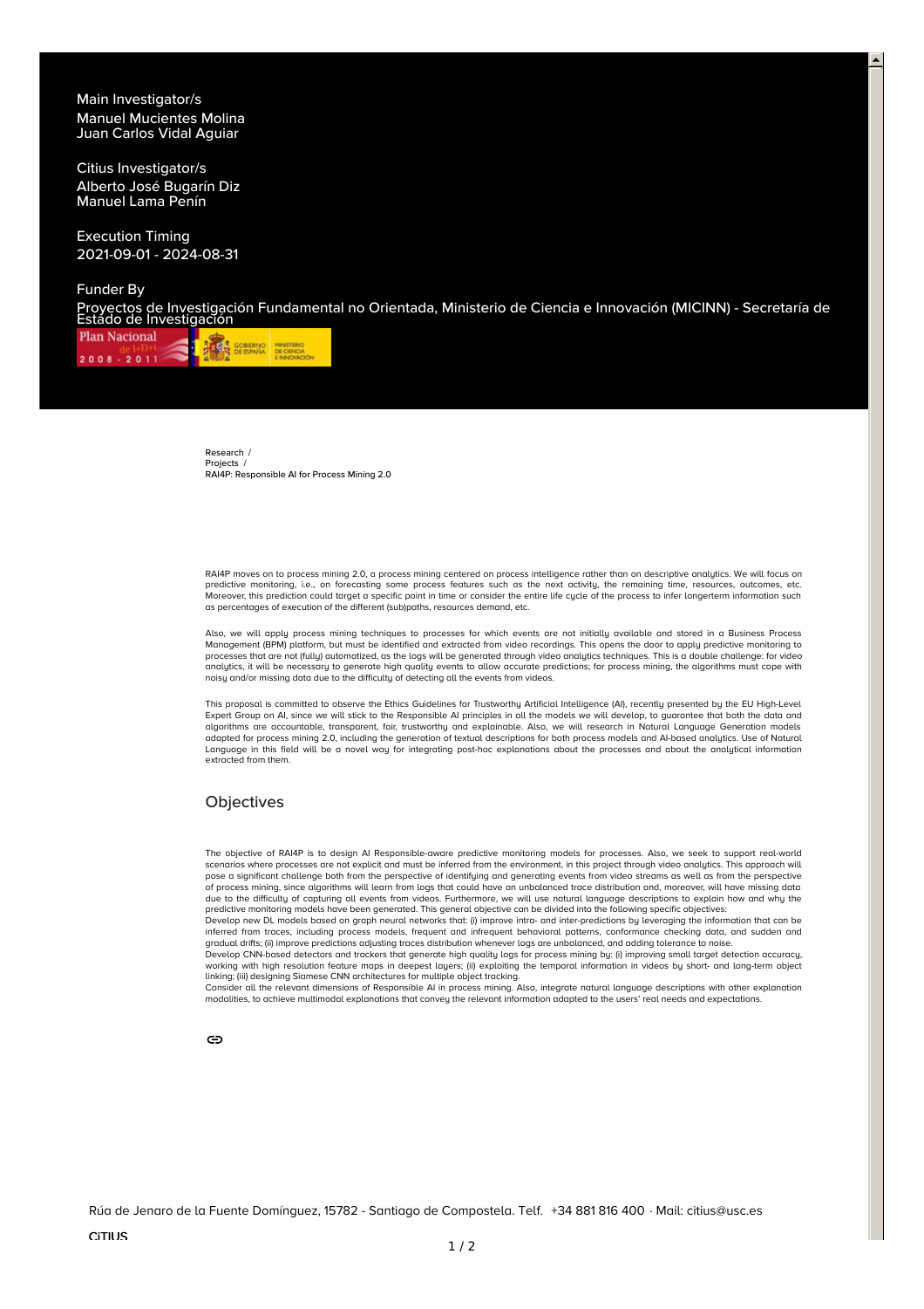Main Investigator/s Manuel [Mucientes](https://citius.gal/team/manuel-mucientes-molina) Molina Juan Carlos Vidal [Aguiar](https://citius.gal/team/juan-carlos-vidal-aguiar)

Citius Investigator/s Alberto José [Bugarín](https://citius.gal/team/alberto-jose-bugarin-diz) Diz [Manuel](https://citius.gal/team/manuel-lama-penin) Lama Penín

Execution Timing 2021-09-01 - 2024-08-31

Funder By

Proyectos de Investigación Fundamental no Orientada, Ministerio de Ciencia e Innovación (MICINN) - Secretaría de Estado de Investigación

**Plan Nacional THE COMERNO MINISTERIO**  $2008 - 2011$ 

> [Research](https://citius.gal/) / [Projects](https://citius.gal/research/projects) / RAI4P: Responsible AI for Process Mining 2.0

RAI4P moves on to process mining 2.0, a process mining centered on process intelligence rather than on descriptive analytics. We will focus on predictive monitoring, i.e., on forecasting some process features such as the next activity, the remaining time, resources, outcomes, etc. Moreover, this prediction could target a specific point in time or consider the entire life cycle of the process to infer longerterm information such as percentages of execution of the different (sub)paths, resources demand, etc.

Also, we will apply process mining techniques to processes for which events are not initially available and stored in a Business Process Management (BPM) platform, but must be identified and extracted from video recordings. This opens the door to apply predictive monitoring to<br>processes that are not (fully) automatized, as the logs will be generated through analytics, it will be necessary to generate high quality events to allow accurate predictions; for process mining, the algorithms must cope with noisy and/or missing data due to the difficulty of detecting all the events from videos.

This proposal is committed to observe the Ethics Guidelines for Trustworthy Artificial Intelligence (AI), recently presented by the EU High-Level Expert Group on AI, since we will stick to the Responsible AI principles in all the models we will develop, to guarantee that both the data and algorithms are accountable, transparent, fair, trustworthy and explainable. Also, we will research in Natural Language Generation models<br>adapted for process mining 2.0, including the generation of textual descriptions for Language in this field will be a novel way for integrating post-hoc explanations about the processes and about the analytical information extracted from them.

## **Objectives**

The objective of RAI4P is to design AI Responsible-aware predictive monitoring models for processes. Also, we seek to support real-world scenarios where processes are not explicit and must be inferred from the environment, in this project through video analytics. This approach will pose a significant challenge both from the perspective of identifying and generating events from video streams as well as from the perspective of process mining, since algorithms will learn from logs that could have an unbalanced trace distribution and, moreover, will have missing data due to the difficulty of capturing all events from videos. Furthermore, we will use natural language descriptions to explain how and why the predictive monitoring models have been generated. This general objective can be divided into the following specific objectives:

Develop new DL models based on graph neural networks that: (i) improve intra- and inter-predictions by leveraging the information that can be inferred from traces, including process models, frequent and infrequent behavioral patterns, conformance checking data, and sudden and<br>gradual drifts; (ii) improve predictions adjusting traces distribution whenever logs ar

Develop CNN-based detectors and trackers that generate high quality logs for process mining by: (i) improving small target detection accuracy, working with high resolution feature maps in deepest layers; (ii) exploiting the temporal information in videos by short- and long-term object

linking; (iii) designing Siamese CNN architectures for multiple object tracking.<br>Consider all the relevant dimensions of Responsible Al in process mining. Also, integrate natural language descriptions with other explanatio

ඏ